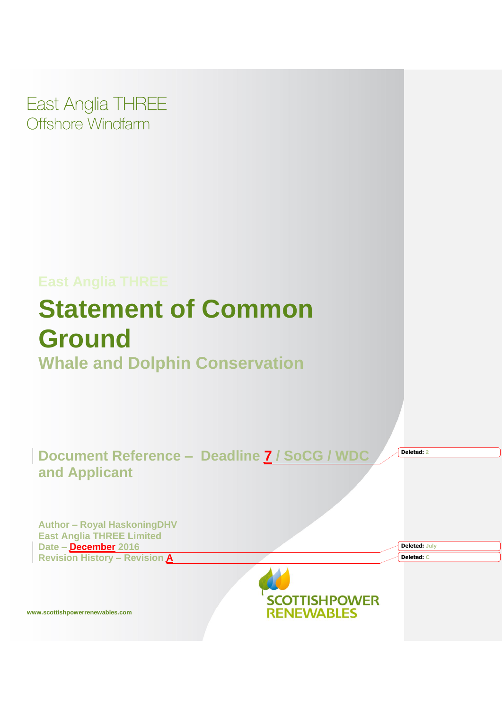

# **East Anglia THREE Statement of Common Ground**

**Whale and Dolphin Conservation** 

**Document Reference - Deadline 7 / SoCG / WDC and Applicant**

**Deleted: 2**

**Deleted: July Deleted: C**

**Author – Royal HaskoningDHV East Anglia THREE Limited Date – December 2016 Revision History – Revision A**



**www.scottishpowerrenewables.com**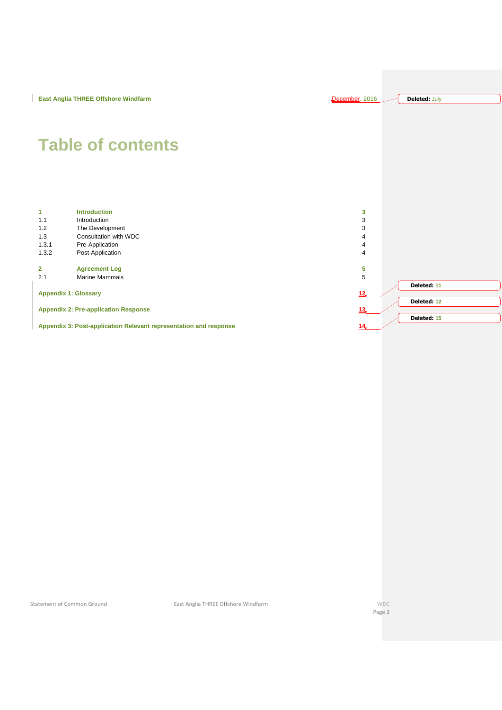```
Deleted: July
```
# **Table of contents**

| 1.                                                                | <b>Introduction</b>   | 3               |             |
|-------------------------------------------------------------------|-----------------------|-----------------|-------------|
| 1.1                                                               | Introduction          | 3               |             |
| 1.2                                                               | The Development       | 3               |             |
| 1.3                                                               | Consultation with WDC | 4               |             |
| 1.3.1                                                             | Pre-Application       | 4               |             |
| 1.3.2                                                             | Post-Application      | 4               |             |
|                                                                   |                       |                 |             |
| $\overline{2}$                                                    | <b>Agreement Log</b>  | 5               |             |
| 2.1                                                               | <b>Marine Mammals</b> | 5               |             |
|                                                                   |                       |                 | Deleted: 11 |
| <b>Appendix 1: Glossary</b>                                       |                       | 12              |             |
|                                                                   |                       |                 | Deleted: 12 |
| <b>Appendix 2: Pre-application Response</b>                       |                       | 13 <sub>1</sub> |             |
|                                                                   |                       |                 | Deleted: 15 |
| Appendix 3: Post-application Relevant representation and response |                       | 14              |             |

Statement of Common Ground **East Anglia THREE Offshore Windfarm** WDC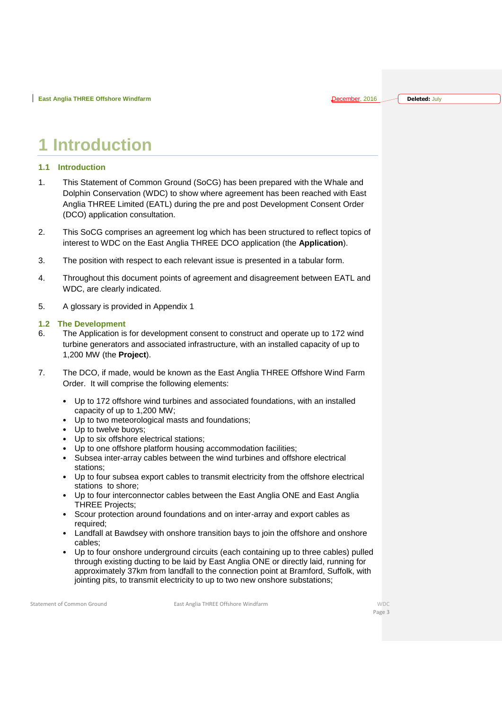**Deleted:** July

### <span id="page-2-0"></span>**Introduction**

#### <span id="page-2-1"></span>**1.1 Introduction**

- 1. This Statement of Common Ground (SoCG) has been prepared with the Whale and Dolphin Conservation (WDC) to show where agreement has been reached with East Anglia THREE Limited (EATL) during the pre and post Development Consent Order (DCO) application consultation.
- 2. This SoCG comprises an agreement log which has been structured to reflect topics of interest to WDC on the East Anglia THREE DCO application (the **Application**).
- 3. The position with respect to each relevant issue is presented in a tabular form.
- 4. Throughout this document points of agreement and disagreement between EATL and WDC, are clearly indicated.
- 5. A glossary is provided in Appendix 1

#### <span id="page-2-2"></span>**1.2 The Development**

- 6. The Application is for development consent to construct and operate up to 172 wind turbine generators and associated infrastructure, with an installed capacity of up to 1,200 MW (the **Project**).
- 7. The DCO, if made, would be known as the East Anglia THREE Offshore Wind Farm Order. It will comprise the following elements:
	- Up to 172 offshore wind turbines and associated foundations, with an installed capacity of up to 1,200 MW;
	- Up to two meteorological masts and foundations;
	- Up to twelve buoys;
	- Up to six offshore electrical stations;
	- Up to one offshore platform housing accommodation facilities;
	- Subsea inter-array cables between the wind turbines and offshore electrical stations;
	- Up to four subsea export cables to transmit electricity from the offshore electrical stations to shore;
	- Up to four interconnector cables between the East Anglia ONE and East Anglia THREE Projects;
	- Scour protection around foundations and on inter-array and export cables as required;
	- Landfall at Bawdsey with onshore transition bays to join the offshore and onshore cables;
	- Up to four onshore underground circuits (each containing up to three cables) pulled through existing ducting to be laid by East Anglia ONE or directly laid, running for approximately 37km from landfall to the connection point at Bramford, Suffolk, with jointing pits, to transmit electricity to up to two new onshore substations;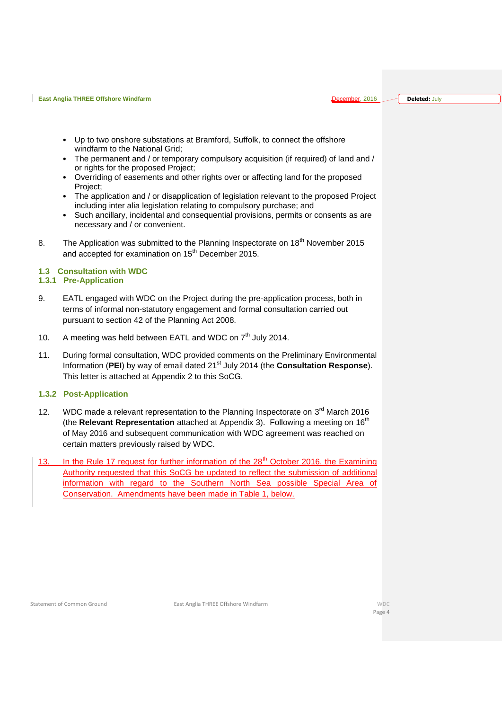**Deleted:** July

- Up to two onshore substations at Bramford, Suffolk, to connect the offshore windfarm to the National Grid;
- The permanent and / or temporary compulsory acquisition (if required) of land and / or rights for the proposed Project;
- Overriding of easements and other rights over or affecting land for the proposed Project;
- The application and / or disapplication of legislation relevant to the proposed Project including inter alia legislation relating to compulsory purchase; and
- Such ancillary, incidental and consequential provisions, permits or consents as are necessary and / or convenient.
- 8. The Application was submitted to the Planning Inspectorate on 18<sup>th</sup> November 2015 and accepted for examination on 15<sup>th</sup> December 2015.

#### <span id="page-3-0"></span>**1.3 Consultation with WDC**

#### <span id="page-3-1"></span>**1.3.1 Pre-Application**

- 9. EATL engaged with WDC on the Project during the pre-application process, both in terms of informal non-statutory engagement and formal consultation carried out pursuant to section 42 of the Planning Act 2008.
- 10. A meeting was held between EATL and WDC on 7<sup>th</sup> July 2014.
- 11. During formal consultation, WDC provided comments on the Preliminary Environmental Information (**PEI**) by way of email dated 21st July 2014 (the **Consultation Response**). This letter is attached at Appendix 2 to this SoCG.

#### <span id="page-3-2"></span>**1.3.2 Post-Application**

- 12. WDC made a relevant representation to the Planning Inspectorate on  $3<sup>rd</sup>$  March 2016 (the **Relevant Representation** attached at Appendix 3). Following a meeting on 16<sup>th</sup> of May 2016 and subsequent communication with WDC agreement was reached on certain matters previously raised by WDC.
- 13. In the Rule 17 request for further information of the 28<sup>th</sup> October 2016, the Examining Authority requested that this SoCG be updated to reflect the submission of additional information with regard to the Southern North Sea possible Special Area of Conservation. Amendments have been made in Table 1, below.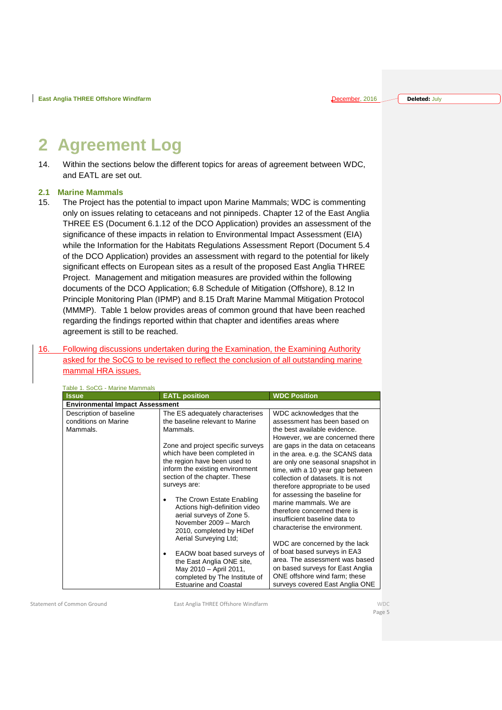**Deleted:** July

## <span id="page-4-0"></span>**2 Agreement Log**

14. Within the sections below the different topics for areas of agreement between WDC, and EATL are set out.

#### <span id="page-4-1"></span>**2.1 Marine Mammals**

15. The Project has the potential to impact upon Marine Mammals; WDC is commenting only on issues relating to cetaceans and not pinnipeds. Chapter 12 of the East Anglia THREE ES (Document 6.1.12 of the DCO Application) provides an assessment of the significance of these impacts in relation to Environmental Impact Assessment (EIA) while the Information for the Habitats Regulations Assessment Report (Document 5.4 of the DCO Application) provides an assessment with regard to the potential for likely significant effects on European sites as a result of the proposed East Anglia THREE Project. Management and mitigation measures are provided within the following documents of the DCO Application; 6.8 Schedule of Mitigation (Offshore), 8.12 In Principle Monitoring Plan (IPMP) and 8.15 Draft Marine Mammal Mitigation Protocol (MMMP). Table 1 below provides areas of common ground that have been reached regarding the findings reported within that chapter and identifies areas where agreement is still to be reached.

#### 16. Following discussions undertaken during the Examination, the Examining Authority asked for the SoCG to be revised to reflect the conclusion of all outstanding marine mammal HRA issues.

| <b>Issue</b>                           | <b>EATL position</b>              | <b>WDC Position</b>                                               |  |  |  |
|----------------------------------------|-----------------------------------|-------------------------------------------------------------------|--|--|--|
| <b>Environmental Impact Assessment</b> |                                   |                                                                   |  |  |  |
| Description of baseline                | The ES adequately characterises   | WDC acknowledges that the                                         |  |  |  |
| conditions on Marine                   | the baseline relevant to Marine   | assessment has been based on                                      |  |  |  |
| Mammals.                               | Mammals.                          | the best available evidence.                                      |  |  |  |
|                                        |                                   | However, we are concerned there                                   |  |  |  |
|                                        | Zone and project specific surveys | are gaps in the data on cetaceans                                 |  |  |  |
|                                        | which have been completed in      | in the area. e.g. the SCANS data                                  |  |  |  |
|                                        | the region have been used to      | are only one seasonal snapshot in                                 |  |  |  |
|                                        | inform the existing environment   | time, with a 10 year gap between                                  |  |  |  |
|                                        | section of the chapter. These     | collection of datasets. It is not                                 |  |  |  |
|                                        | surveys are:                      | therefore appropriate to be used                                  |  |  |  |
|                                        | The Crown Estate Enabling         | for assessing the baseline for                                    |  |  |  |
|                                        | Actions high-definition video     | marine mammals. We are                                            |  |  |  |
|                                        | aerial surveys of Zone 5.         | therefore concerned there is                                      |  |  |  |
|                                        | November 2009 - March             | insufficient baseline data to                                     |  |  |  |
|                                        | 2010, completed by HiDef          | characterise the environment.                                     |  |  |  |
|                                        | Aerial Surveying Ltd;             |                                                                   |  |  |  |
|                                        |                                   | WDC are concerned by the lack                                     |  |  |  |
|                                        | EAOW boat based surveys of        | of boat based surveys in EA3                                      |  |  |  |
|                                        | the East Anglia ONE site,         | area. The assessment was based                                    |  |  |  |
|                                        | May 2010 - April 2011,            | on based surveys for East Anglia<br>ONE offshore wind farm; these |  |  |  |
|                                        | completed by The Institute of     |                                                                   |  |  |  |
|                                        | <b>Estuarine and Coastal</b>      | surveys covered East Anglia ONE                                   |  |  |  |

Table 1. SoCG - Marine Mammals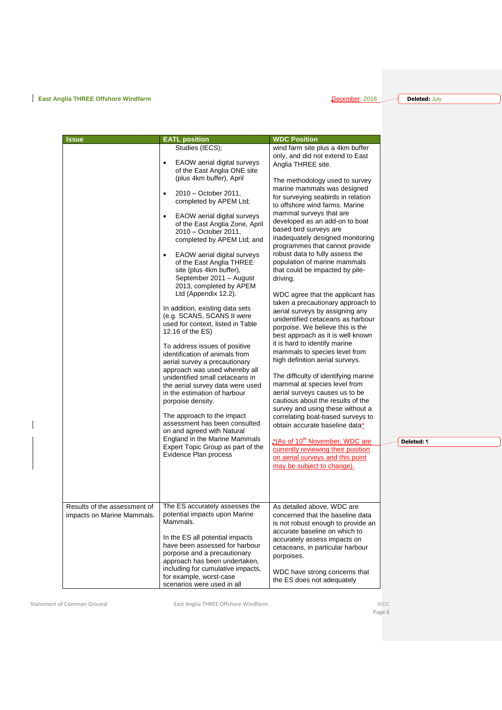**Deleted:** July

| The methodology used to survey<br>for surveying seabirds in relation<br>inadequately designed monitoring<br>programmes that cannot provide<br>WDC agree that the applicant has<br>taken a precautionary approach to<br>unidentified cetaceans as harbour<br>best approach as it is well known<br>The difficulty of identifying marine<br>survey and using these without a<br>correlating boat-based surveys to |
|----------------------------------------------------------------------------------------------------------------------------------------------------------------------------------------------------------------------------------------------------------------------------------------------------------------------------------------------------------------------------------------------------------------|

 $\overline{\phantom{a}}$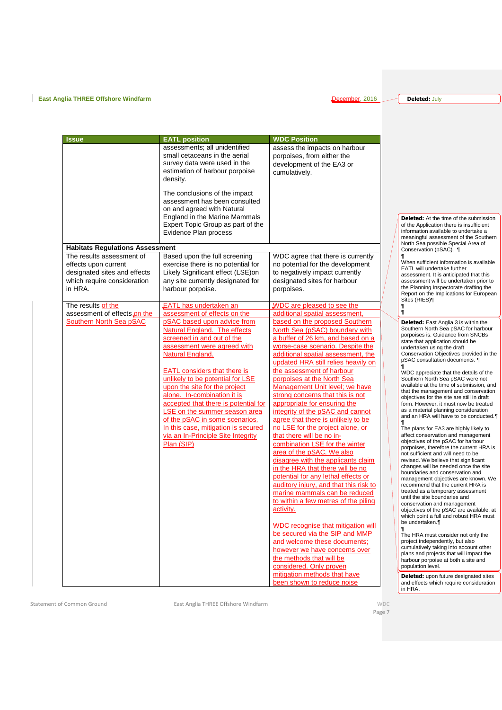**Deleted:** July

| Issue                                                                                                                       | <b>EATL position</b>                                                                                                                                                                                                                               | <b>WDC Position</b>                                                                                                                                                                                                                                                                                                                                                                                                                                                                                                           |                                                                                                                                                                                                                                                                                                                                                                                                                                                                                                                                                                                                                                                                                                                                     |
|-----------------------------------------------------------------------------------------------------------------------------|----------------------------------------------------------------------------------------------------------------------------------------------------------------------------------------------------------------------------------------------------|-------------------------------------------------------------------------------------------------------------------------------------------------------------------------------------------------------------------------------------------------------------------------------------------------------------------------------------------------------------------------------------------------------------------------------------------------------------------------------------------------------------------------------|-------------------------------------------------------------------------------------------------------------------------------------------------------------------------------------------------------------------------------------------------------------------------------------------------------------------------------------------------------------------------------------------------------------------------------------------------------------------------------------------------------------------------------------------------------------------------------------------------------------------------------------------------------------------------------------------------------------------------------------|
|                                                                                                                             | assessments; all unidentified<br>small cetaceans in the aerial<br>survey data were used in the<br>estimation of harbour porpoise<br>density.                                                                                                       | assess the impacts on harbour<br>porpoises, from either the<br>development of the EA3 or<br>cumulatively.                                                                                                                                                                                                                                                                                                                                                                                                                     |                                                                                                                                                                                                                                                                                                                                                                                                                                                                                                                                                                                                                                                                                                                                     |
|                                                                                                                             | The conclusions of the impact<br>assessment has been consulted<br>on and agreed with Natural<br><b>England in the Marine Mammals</b><br>Expert Topic Group as part of the<br>Evidence Plan process                                                 |                                                                                                                                                                                                                                                                                                                                                                                                                                                                                                                               | <b>Deleted:</b> At the time of the submission<br>of the Application there is insufficient<br>information available to undertake a<br>meaningful assessment of the Southern<br>North Sea possible Special Area of                                                                                                                                                                                                                                                                                                                                                                                                                                                                                                                    |
| <b>Habitats Regulations Assessment</b>                                                                                      |                                                                                                                                                                                                                                                    |                                                                                                                                                                                                                                                                                                                                                                                                                                                                                                                               | Conservation (pSAC). 1                                                                                                                                                                                                                                                                                                                                                                                                                                                                                                                                                                                                                                                                                                              |
| The results assessment of<br>effects upon current<br>designated sites and effects<br>which require consideration<br>in HRA. | Based upon the full screening<br>exercise there is no potential for<br>Likely Significant effect (LSE)on<br>any site currently designated for<br>harbour porpoise.                                                                                 | WDC agree that there is currently<br>no potential for the development<br>to negatively impact currently<br>designated sites for harbour<br>porpoises.                                                                                                                                                                                                                                                                                                                                                                         | When sufficient information is available<br><b>EATL will undertake further</b><br>assessment. It is anticipated that this<br>assessment will be undertaken prior to<br>the Planning Inspectorate drafting the<br>Report on the Implications for European<br>Sites (RIES)¶                                                                                                                                                                                                                                                                                                                                                                                                                                                           |
| The results of the                                                                                                          | <b>EATL has undertaken an</b>                                                                                                                                                                                                                      | WDC are pleased to see the                                                                                                                                                                                                                                                                                                                                                                                                                                                                                                    | ¶                                                                                                                                                                                                                                                                                                                                                                                                                                                                                                                                                                                                                                                                                                                                   |
| assessment of effects on the                                                                                                | assessment of effects on the                                                                                                                                                                                                                       | additional spatial assessment,                                                                                                                                                                                                                                                                                                                                                                                                                                                                                                | $\mathbf{I}$                                                                                                                                                                                                                                                                                                                                                                                                                                                                                                                                                                                                                                                                                                                        |
| Southern North Sea pSAC                                                                                                     | pSAC based upon advice from<br>Natural England. The effects<br>screened in and out of the<br>assessment were agreed with<br>Natural England.                                                                                                       | based on the proposed Southern<br>North Sea (pSAC) boundary with<br>a buffer of 26 km, and based on a<br>worse-case scenario. Despite the<br>additional spatial assessment, the<br>updated HRA still relies heavily on                                                                                                                                                                                                                                                                                                        | <b>Deleted:</b> East Anglia 3 is within the<br>Southern North Sea pSAC for harbour<br>porpoises is. Guidance from SNCBs<br>state that application should be<br>undertaken using the draft<br>Conservation Objectives provided in the<br>pSAC consultation documents.                                                                                                                                                                                                                                                                                                                                                                                                                                                                |
|                                                                                                                             | <b>EATL</b> considers that there is<br>unlikely to be potential for LSE<br>upon the site for the project<br>alone. In-combination it is<br>accepted that there is potential for<br>LSE on the summer season area<br>of the pSAC in some scenarios. | the assessment of harbour<br>porpoises at the North Sea<br>Management Unit level; we have<br>strong concerns that this is not<br>appropriate for ensuring the<br>integrity of the pSAC and cannot<br>agree that there is unlikely to be                                                                                                                                                                                                                                                                                       | WDC appreciate that the details of the<br>Southern North Sea pSAC were not<br>available at the time of submission, and<br>that the management and conservation<br>objectives for the site are still in draft<br>form. However, it must now be treated<br>as a material planning consideration<br>and an HRA will have to be conducted.                                                                                                                                                                                                                                                                                                                                                                                              |
|                                                                                                                             | In this case, mitigation is secured<br>via an In-Principle Site Integrity<br>Plan (SIP)                                                                                                                                                            | no LSE for the project alone, or<br>that there will be no in-<br>combination LSE for the winter<br>area of the pSAC. We also<br>disagree with the applicants claim<br>in the HRA that there will be no<br>potential for any lethal effects or<br>auditory injury, and that this risk to<br>marine mammals can be reduced<br>to within a few metres of the piling<br><u>activity.</u><br>WDC recognise that mitigation will<br>be secured via the SIP and MMP<br>and welcome these documents;<br>however we have concerns over | The plans for EA3 are highly likely to<br>affect conservation and management<br>objectives of the pSAC for harbour<br>porpoises, therefore the current HRA is<br>not sufficient and will need to be<br>revised. We believe that significant<br>changes will be needed once the site<br>boundaries and conservation and<br>management objectives are known. We<br>recommend that the current HRA is<br>treated as a temporary assessment<br>until the site boundaries and<br>conservation and management<br>objectives of the pSAC are available, at<br>which point a full and robust HRA must<br>be undertaken.¶<br>The HRA must consider not only the<br>project independently, but also<br>cumulatively taking into account other |
|                                                                                                                             |                                                                                                                                                                                                                                                    | the methods that will be<br>considered. Only proven<br>mitigation methods that have<br>been shown to reduce noise                                                                                                                                                                                                                                                                                                                                                                                                             | plans and projects that will impact the<br>harbour porpoise at both a site and<br>population level.<br><b>Deleted:</b> upon future designated sites<br>and effects which require consideration<br>in HRA.                                                                                                                                                                                                                                                                                                                                                                                                                                                                                                                           |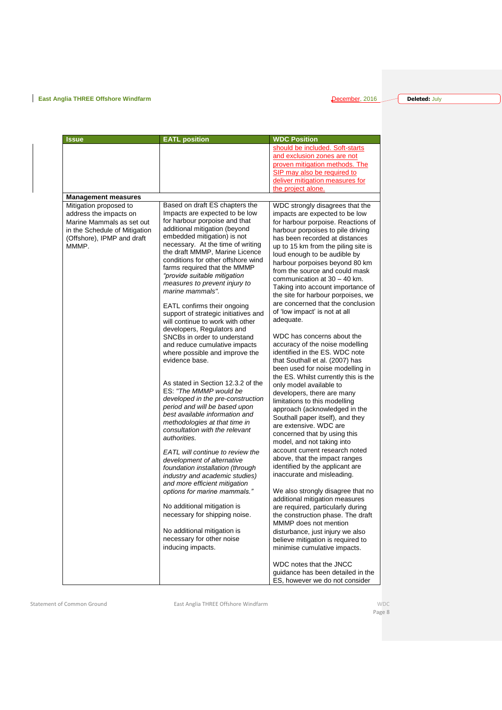**Deleted:** July

| <b>Issue</b>                                                                                                                                          | <b>EATL position</b>                                                                                                                                                                                                                                                                                                                                                                                                                                                                                           | <b>WDC Position</b>                                                                                                                                                                                                                                                                                                                                                                                                                                                                                                       |
|-------------------------------------------------------------------------------------------------------------------------------------------------------|----------------------------------------------------------------------------------------------------------------------------------------------------------------------------------------------------------------------------------------------------------------------------------------------------------------------------------------------------------------------------------------------------------------------------------------------------------------------------------------------------------------|---------------------------------------------------------------------------------------------------------------------------------------------------------------------------------------------------------------------------------------------------------------------------------------------------------------------------------------------------------------------------------------------------------------------------------------------------------------------------------------------------------------------------|
|                                                                                                                                                       |                                                                                                                                                                                                                                                                                                                                                                                                                                                                                                                | should be included. Soft-starts<br>and exclusion zones are not<br>proven mitigation methods. The<br>SIP may also be required to<br>deliver mitigation measures for<br>the project alone.                                                                                                                                                                                                                                                                                                                                  |
| <b>Management measures</b>                                                                                                                            |                                                                                                                                                                                                                                                                                                                                                                                                                                                                                                                |                                                                                                                                                                                                                                                                                                                                                                                                                                                                                                                           |
| Mitigation proposed to<br>address the impacts on<br>Marine Mammals as set out<br>in the Schedule of Mitigation<br>(Offshore), IPMP and draft<br>MMMP. | Based on draft ES chapters the<br>Impacts are expected to be low<br>for harbour porpoise and that<br>additional mitigation (beyond<br>embedded mitigation) is not<br>necessary. At the time of writing<br>the draft MMMP, Marine Licence<br>conditions for other offshore wind<br>farms required that the MMMP<br>"provide suitable mitigation<br>measures to prevent injury to<br>marine mammals".<br>EATL confirms their ongoing<br>support of strategic initiatives and<br>will continue to work with other | WDC strongly disagrees that the<br>impacts are expected to be low<br>for harbour porpoise. Reactions of<br>harbour porpoises to pile driving<br>has been recorded at distances<br>up to 15 km from the piling site is<br>loud enough to be audible by<br>harbour porpoises beyond 80 km<br>from the source and could mask<br>communication at $30 - 40$ km.<br>Taking into account importance of<br>the site for harbour porpoises, we<br>are concerned that the conclusion<br>of 'low impact' is not at all<br>adequate. |
|                                                                                                                                                       | developers, Regulators and<br>SNCBs in order to understand<br>and reduce cumulative impacts<br>where possible and improve the<br>evidence base.                                                                                                                                                                                                                                                                                                                                                                | WDC has concerns about the<br>accuracy of the noise modelling<br>identified in the ES. WDC note<br>that Southall et al. (2007) has<br>been used for noise modelling in                                                                                                                                                                                                                                                                                                                                                    |
|                                                                                                                                                       | As stated in Section 12.3.2 of the<br>ES: "The MMMP would be<br>developed in the pre-construction<br>period and will be based upon<br>best available information and<br>methodologies at that time in<br>consultation with the relevant<br>authorities.<br>EATL will continue to review the                                                                                                                                                                                                                    | the ES. Whilst currently this is the<br>only model available to<br>developers, there are many<br>limitations to this modelling<br>approach (acknowledged in the<br>Southall paper itself), and they<br>are extensive. WDC are<br>concerned that by using this<br>model, and not taking into<br>account current research noted                                                                                                                                                                                             |
|                                                                                                                                                       | development of alternative<br>foundation installation (through<br>industry and academic studies)<br>and more efficient mitigation<br>options for marine mammals."                                                                                                                                                                                                                                                                                                                                              | above, that the impact ranges<br>identified by the applicant are<br>inaccurate and misleading.<br>We also strongly disagree that no                                                                                                                                                                                                                                                                                                                                                                                       |
|                                                                                                                                                       | No additional mitigation is<br>necessary for shipping noise.                                                                                                                                                                                                                                                                                                                                                                                                                                                   | additional mitigation measures<br>are required, particularly during<br>the construction phase. The draft<br>MMMP does not mention                                                                                                                                                                                                                                                                                                                                                                                         |
|                                                                                                                                                       | No additional mitigation is<br>necessary for other noise<br>inducing impacts.                                                                                                                                                                                                                                                                                                                                                                                                                                  | disturbance, just injury we also<br>believe mitigation is required to<br>minimise cumulative impacts.                                                                                                                                                                                                                                                                                                                                                                                                                     |
|                                                                                                                                                       |                                                                                                                                                                                                                                                                                                                                                                                                                                                                                                                | WDC notes that the JNCC<br>guidance has been detailed in the<br>ES, however we do not consider                                                                                                                                                                                                                                                                                                                                                                                                                            |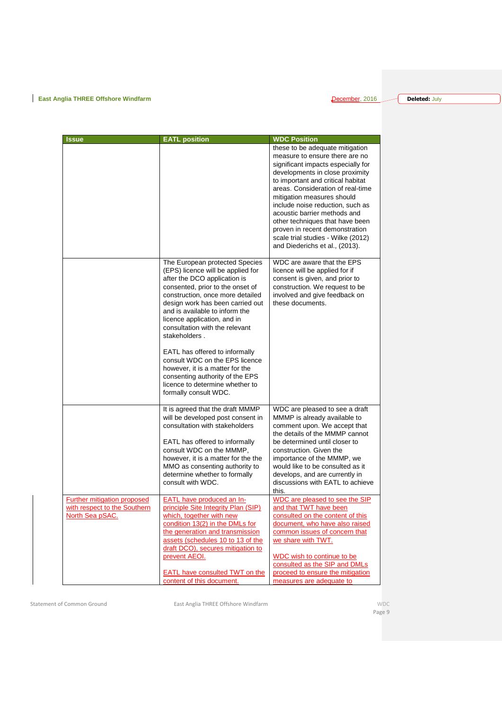**Deleted:** July

| <b>Issue</b>                                                                          | <b>EATL position</b>                                                                                                                                                                                                                                                                                                                                                                                                                                                                                                                      | <b>WDC Position</b>                                                                                                                                                                                                                                                                                                                                                                                                                                                 |
|---------------------------------------------------------------------------------------|-------------------------------------------------------------------------------------------------------------------------------------------------------------------------------------------------------------------------------------------------------------------------------------------------------------------------------------------------------------------------------------------------------------------------------------------------------------------------------------------------------------------------------------------|---------------------------------------------------------------------------------------------------------------------------------------------------------------------------------------------------------------------------------------------------------------------------------------------------------------------------------------------------------------------------------------------------------------------------------------------------------------------|
|                                                                                       |                                                                                                                                                                                                                                                                                                                                                                                                                                                                                                                                           | these to be adequate mitigation<br>measure to ensure there are no<br>significant impacts especially for<br>developments in close proximity<br>to important and critical habitat<br>areas. Consideration of real-time<br>mitigation measures should<br>include noise reduction, such as<br>acoustic barrier methods and<br>other techniques that have been<br>proven in recent demonstration<br>scale trial studies - Wilke (2012)<br>and Diederichs et al., (2013). |
|                                                                                       | The European protected Species<br>(EPS) licence will be applied for<br>after the DCO application is<br>consented, prior to the onset of<br>construction, once more detailed<br>design work has been carried out<br>and is available to inform the<br>licence application, and in<br>consultation with the relevant<br>stakeholders.<br>EATL has offered to informally<br>consult WDC on the EPS licence<br>however, it is a matter for the<br>consenting authority of the EPS<br>licence to determine whether to<br>formally consult WDC. | WDC are aware that the EPS<br>licence will be applied for if<br>consent is given, and prior to<br>construction. We request to be<br>involved and give feedback on<br>these documents.                                                                                                                                                                                                                                                                               |
|                                                                                       | It is agreed that the draft MMMP<br>will be developed post consent in<br>consultation with stakeholders<br>EATL has offered to informally<br>consult WDC on the MMMP,<br>however, it is a matter for the the<br>MMO as consenting authority to<br>determine whether to formally<br>consult with WDC.                                                                                                                                                                                                                                      | WDC are pleased to see a draft<br>MMMP is already available to<br>comment upon. We accept that<br>the details of the MMMP cannot<br>be determined until closer to<br>construction. Given the<br>importance of the MMMP, we<br>would like to be consulted as it<br>develops, and are currently in<br>discussions with EATL to achieve<br>this.                                                                                                                       |
| <b>Further mitigation proposed</b><br>with respect to the Southern<br>North Sea pSAC. | EATL have produced an In-<br>principle Site Integrity Plan (SIP)<br>which, together with new<br>condition 13(2) in the DMLs for<br>the generation and transmission<br>assets (schedules 10 to 13 of the<br>draft DCO), secures mitigation to<br>prevent AEOI.<br><b>EATL have consulted TWT on the</b><br>content of this document.                                                                                                                                                                                                       | WDC are pleased to see the SIP<br>and that TWT have been<br>consulted on the content of this<br>document, who have also raised<br>common issues of concern that<br>we share with TWT.<br>WDC wish to continue to be<br>consulted as the SIP and DMLs<br>proceed to ensure the mitigation<br>measures are adequate to                                                                                                                                                |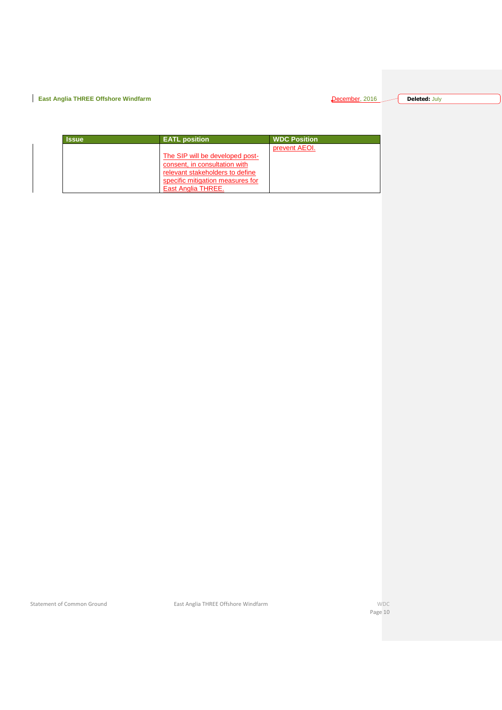#### **Deleted:** July

| <b>Issue</b> | <b>EATL</b> position             | <b>WDC Position</b> |
|--------------|----------------------------------|---------------------|
|              |                                  | prevent AEOI.       |
|              | The SIP will be developed post-  |                     |
|              | consent, in consultation with    |                     |
|              | relevant stakeholders to define  |                     |
|              | specific mitigation measures for |                     |
|              | East Anglia THREE.               |                     |

Statement of Common Ground **East Anglia THREE Offshore Windfarm** WDC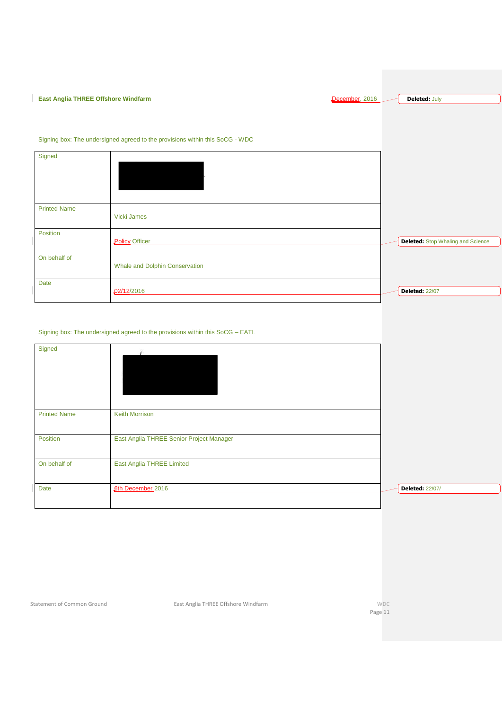**East Anglia THREE Offshore Windfarm December, 2016 Deleted:** July

|                     | Signing box: The undersigned agreed to the provisions within this SoCG - WDC |                                   |
|---------------------|------------------------------------------------------------------------------|-----------------------------------|
| Signed              |                                                                              |                                   |
| <b>Printed Name</b> | Vicki James                                                                  |                                   |
| Position            | <b>Policy Officer</b>                                                        | Deleted: Stop Whaling and Science |
| On behalf of        | Whale and Dolphin Conservation                                               |                                   |
| <b>Date</b>         | 02/12/2016                                                                   | <b>Deleted: 22/07</b>             |

#### Signing box: The undersigned agreed to the provisions within this SoCG – EATL

| Signed              |                                          |                        |
|---------------------|------------------------------------------|------------------------|
| <b>Printed Name</b> | <b>Keith Morrison</b>                    |                        |
| Position            | East Anglia THREE Senior Project Manager |                        |
| On behalf of        | East Anglia THREE Limited                |                        |
| Date                | 6th December 2016                        | <b>Deleted: 22/07/</b> |

Statement of Common Ground **East Anglia THREE Offshore Windfarm** WDC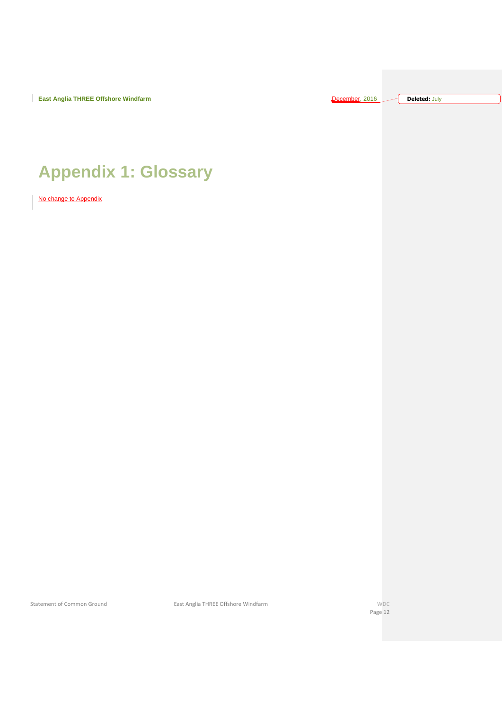**Deleted:** July

# <span id="page-11-0"></span>**Appendix 1: Glossary**

No change to Appendix

Statement of Common Ground **East Anglia THREE Offshore Windfarm** WDC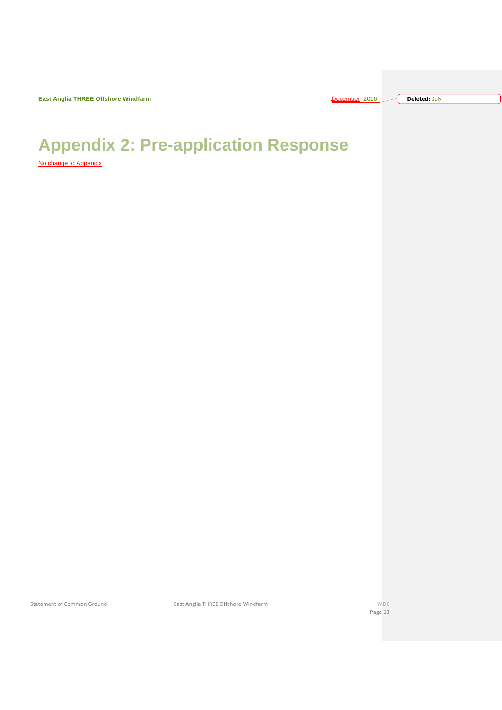**East Anglia THREE Offshore Windfarm** December 2016 2016 2016 2016 2016 2016 2016

| ecember, 2016 |  | <b>Deleted: July</b> |  |
|---------------|--|----------------------|--|
|---------------|--|----------------------|--|

# <span id="page-12-0"></span>**Appendix 2: Pre-application Response**

No change to Appendix

Statement of Common Ground **East Anglia THREE Offshore Windfarm** WDC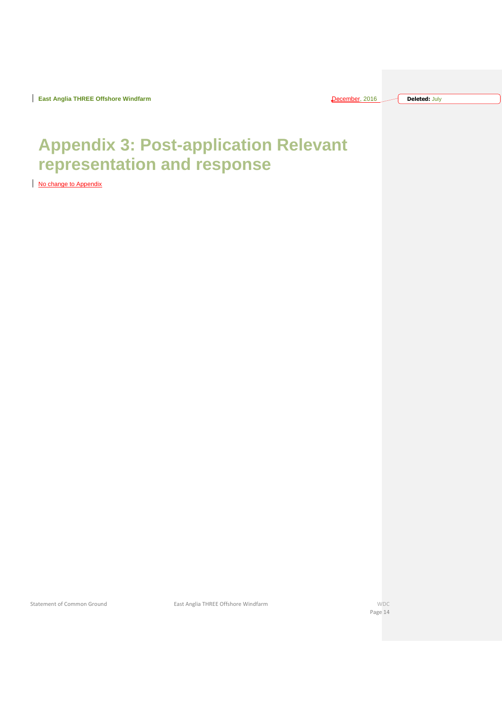| ecember. 2016 |  | <b>Deleted: July</b> |
|---------------|--|----------------------|
|---------------|--|----------------------|

# <span id="page-13-0"></span>**Appendix 3: Post-application Relevant representation and response**

No change to Appendix

Statement of Common Ground East Anglia THREE Offshore Windfarm WDC